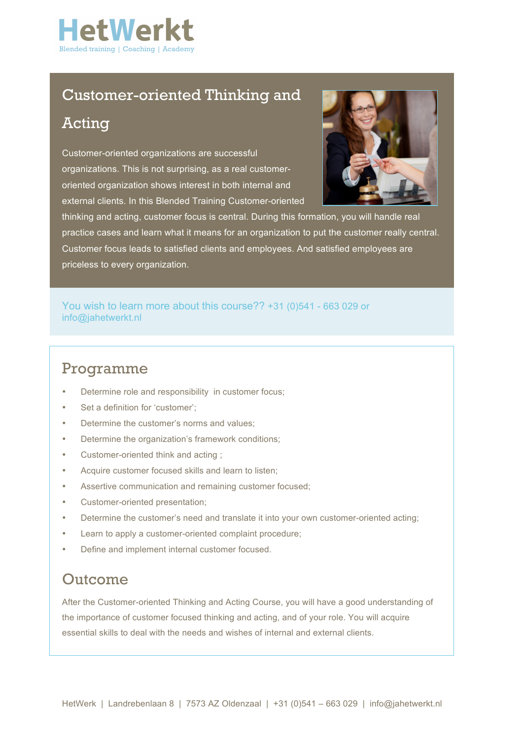

## Customer-oriented Thinking and

## Acting

Customer-oriented organizations are successful organizations. This is not surprising, as a real customeroriented organization shows interest in both internal and external clients. In this Blended Training Customer-oriented



thinking and acting, customer focus is central. During this formation, you will handle real practice cases and learn what it means for an organization to put the customer really central. Customer focus leads to satisfied clients and employees. And satisfied employees are priceless to every organization.

### You wish to learn more about this course?? +31 (0)541 - 663 029 or info@jahetwerkt.nl

### Programme

- Determine role and responsibility in customer focus;
- Set a definition for 'customer';
- Determine the customer's norms and values;
- Determine the organization's framework conditions;
- Customer-oriented think and acting ;
- Acquire customer focused skills and learn to listen;
- Assertive communication and remaining customer focused;
- Customer-oriented presentation;
- Determine the customer's need and translate it into your own customer-oriented acting;
- Learn to apply a customer-oriented complaint procedure;
- Define and implement internal customer focused.

## **Outcome**

After the Customer-oriented Thinking and Acting Course, you will have a good understanding of the importance of customer focused thinking and acting, and of your role. You will acquire essential skills to deal with the needs and wishes of internal and external clients.